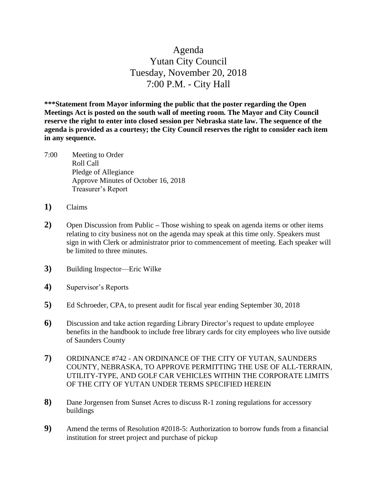## Agenda Yutan City Council Tuesday, November 20, 2018 7:00 P.M. - City Hall

**\*\*\*Statement from Mayor informing the public that the poster regarding the Open Meetings Act is posted on the south wall of meeting room. The Mayor and City Council reserve the right to enter into closed session per Nebraska state law. The sequence of the agenda is provided as a courtesy; the City Council reserves the right to consider each item in any sequence.**

- 7:00 Meeting to Order Roll Call Pledge of Allegiance Approve Minutes of October 16, 2018 Treasurer's Report
- **1)** Claims
- **2)** Open Discussion from Public **–** Those wishing to speak on agenda items or other items relating to city business not on the agenda may speak at this time only. Speakers must sign in with Clerk or administrator prior to commencement of meeting. Each speaker will be limited to three minutes.
- **3)** Building Inspector—Eric Wilke
- **4)** Supervisor's Reports
- **5)** Ed Schroeder, CPA, to present audit for fiscal year ending September 30, 2018
- **6)** Discussion and take action regarding Library Director's request to update employee benefits in the handbook to include free library cards for city employees who live outside of Saunders County
- **7)** ORDINANCE #742 AN ORDINANCE OF THE CITY OF YUTAN, SAUNDERS COUNTY, NEBRASKA, TO APPROVE PERMITTING THE USE OF ALL-TERRAIN, UTILITY-TYPE, AND GOLF CAR VEHICLES WITHIN THE CORPORATE LIMITS OF THE CITY OF YUTAN UNDER TERMS SPECIFIED HEREIN
- **8)** Dane Jorgensen from Sunset Acres to discuss R-1 zoning regulations for accessory buildings
- **9)** Amend the terms of Resolution #2018-5: Authorization to borrow funds from a financial institution for street project and purchase of pickup